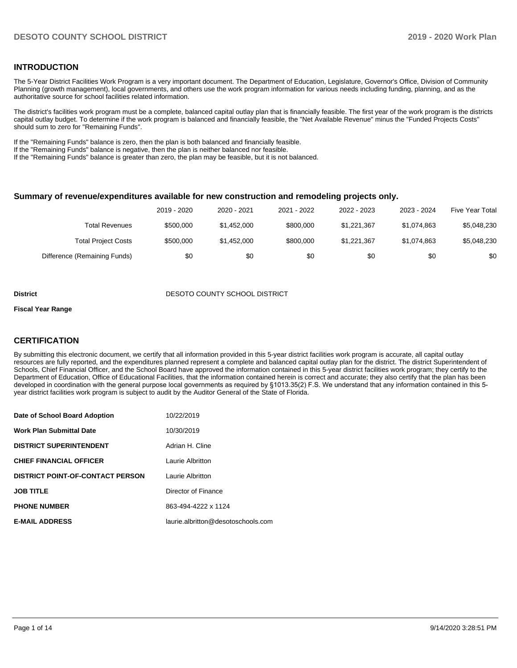#### **INTRODUCTION**

The 5-Year District Facilities Work Program is a very important document. The Department of Education, Legislature, Governor's Office, Division of Community Planning (growth management), local governments, and others use the work program information for various needs including funding, planning, and as the authoritative source for school facilities related information.

The district's facilities work program must be a complete, balanced capital outlay plan that is financially feasible. The first year of the work program is the districts capital outlay budget. To determine if the work program is balanced and financially feasible, the "Net Available Revenue" minus the "Funded Projects Costs" should sum to zero for "Remaining Funds".

If the "Remaining Funds" balance is zero, then the plan is both balanced and financially feasible.

If the "Remaining Funds" balance is negative, then the plan is neither balanced nor feasible.

If the "Remaining Funds" balance is greater than zero, the plan may be feasible, but it is not balanced.

#### **Summary of revenue/expenditures available for new construction and remodeling projects only.**

| <b>Five Year Total</b> | 2023 - 2024 | 2022 - 2023 | 2021 - 2022 | 2020 - 2021 | 2019 - 2020 |                              |
|------------------------|-------------|-------------|-------------|-------------|-------------|------------------------------|
| \$5,048,230            | \$1.074.863 | \$1.221.367 | \$800,000   | \$1.452,000 | \$500,000   | Total Revenues               |
| \$5,048,230            | \$1,074,863 | \$1.221.367 | \$800,000   | \$1,452,000 | \$500,000   | <b>Total Project Costs</b>   |
| \$0                    | \$0         | \$0         | \$0         | \$0         | \$0         | Difference (Remaining Funds) |

#### **District DESOTO COUNTY SCHOOL DISTRICT**

#### **Fiscal Year Range**

#### **CERTIFICATION**

By submitting this electronic document, we certify that all information provided in this 5-year district facilities work program is accurate, all capital outlay resources are fully reported, and the expenditures planned represent a complete and balanced capital outlay plan for the district. The district Superintendent of Schools, Chief Financial Officer, and the School Board have approved the information contained in this 5-year district facilities work program; they certify to the Department of Education, Office of Educational Facilities, that the information contained herein is correct and accurate; they also certify that the plan has been developed in coordination with the general purpose local governments as required by §1013.35(2) F.S. We understand that any information contained in this 5 year district facilities work program is subject to audit by the Auditor General of the State of Florida.

| Date of School Board Adoption           | 10/22/2019                         |
|-----------------------------------------|------------------------------------|
| <b>Work Plan Submittal Date</b>         | 10/30/2019                         |
| <b>DISTRICT SUPERINTENDENT</b>          | Adrian H. Cline                    |
| <b>CHIEF FINANCIAL OFFICER</b>          | Laurie Albritton                   |
| <b>DISTRICT POINT-OF-CONTACT PERSON</b> | Laurie Albritton                   |
| <b>JOB TITLE</b>                        | Director of Finance                |
| <b>PHONE NUMBER</b>                     | 863-494-4222 x 1124                |
| <b>E-MAIL ADDRESS</b>                   | laurie.albritton@desotoschools.com |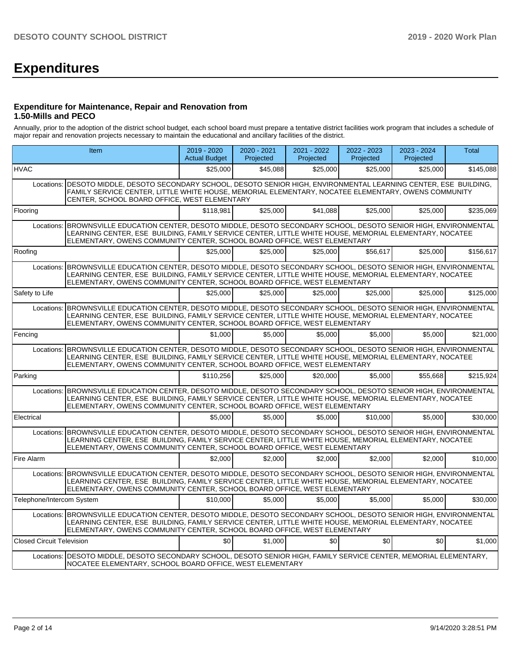# **Expenditures**

#### **Expenditure for Maintenance, Repair and Renovation from 1.50-Mills and PECO**

Annually, prior to the adoption of the district school budget, each school board must prepare a tentative district facilities work program that includes a schedule of major repair and renovation projects necessary to maintain the educational and ancillary facilities of the district.

|                                  | <b>Item</b>                                                                                                                                                                                                                                                                                              | $2019 - 2020$<br><b>Actual Budget</b> | $2020 - 2021$<br>Projected | 2021 - 2022<br>Projected | 2022 - 2023<br>Projected | 2023 - 2024<br>Projected | <b>Total</b> |
|----------------------------------|----------------------------------------------------------------------------------------------------------------------------------------------------------------------------------------------------------------------------------------------------------------------------------------------------------|---------------------------------------|----------------------------|--------------------------|--------------------------|--------------------------|--------------|
| <b>HVAC</b>                      |                                                                                                                                                                                                                                                                                                          | \$25,000                              | \$45.088                   | \$25,000                 | \$25,000                 | \$25,000                 | \$145,088    |
| Locations:                       | DESOTO MIDDLE, DESOTO SECONDARY SCHOOL, DESOTO SENIOR HIGH, ENVIRONMENTAL LEARNING CENTER, ESE BUILDING,<br>FAMILY SERVICE CENTER, LITTLE WHITE HOUSE, MEMORIAL ELEMENTARY, NOCATEE ELEMENTARY, OWENS COMMUNITY<br>CENTER, SCHOOL BOARD OFFICE, WEST ELEMENTARY                                          |                                       |                            |                          |                          |                          |              |
| Flooring                         |                                                                                                                                                                                                                                                                                                          | \$118.981                             | \$25,000                   | \$41.088                 | \$25,000                 | \$25,000                 | \$235.069    |
| Locations:                       | BROWNSVILLE EDUCATION CENTER, DESOTO MIDDLE, DESOTO SECONDARY SCHOOL, DESOTO SENIOR HIGH, ENVIRONMENTAL<br>LEARNING CENTER, ESE BUILDING, FAMILY SERVICE CENTER, LITTLE WHITE HOUSE, MEMORIAL ELEMENTARY, NOCATEE<br>ELEMENTARY, OWENS COMMUNITY CENTER, SCHOOL BOARD OFFICE, WEST ELEMENTARY            |                                       |                            |                          |                          |                          |              |
| Roofing                          |                                                                                                                                                                                                                                                                                                          | \$25,000                              | \$25,000                   | \$25,000                 | \$56.617                 | \$25,000                 | \$156.617    |
|                                  | Locations: BROWNSVILLE EDUCATION CENTER, DESOTO MIDDLE, DESOTO SECONDARY SCHOOL, DESOTO SENIOR HIGH, ENVIRONMENTAL<br>LEARNING CENTER, ESE BUILDING, FAMILY SERVICE CENTER, LITTLE WHITE HOUSE, MEMORIAL ELEMENTARY, NOCATEE<br>ELEMENTARY, OWENS COMMUNITY CENTER, SCHOOL BOARD OFFICE, WEST ELEMENTARY |                                       |                            |                          |                          |                          |              |
| Safety to Life                   |                                                                                                                                                                                                                                                                                                          | \$25,000                              | \$25,000                   | \$25,000                 | \$25,000                 | \$25,000                 | \$125,000    |
| Locations:                       | BROWNSVILLE EDUCATION CENTER, DESOTO MIDDLE, DESOTO SECONDARY SCHOOL, DESOTO SENIOR HIGH, ENVIRONMENTAL<br>LEARNING CENTER, ESE BUILDING, FAMILY SERVICE CENTER, LITTLE WHITE HOUSE, MEMORIAL ELEMENTARY, NOCATEE<br>ELEMENTARY, OWENS COMMUNITY CENTER, SCHOOL BOARD OFFICE, WEST ELEMENTARY            |                                       |                            |                          |                          |                          |              |
| Fencing                          |                                                                                                                                                                                                                                                                                                          | \$1,000                               | \$5,000                    | \$5,000                  | \$5,000                  | \$5,000                  | \$21,000     |
|                                  | Locations: BROWNSVILLE EDUCATION CENTER, DESOTO MIDDLE, DESOTO SECONDARY SCHOOL, DESOTO SENIOR HIGH, ENVIRONMENTAL<br>LEARNING CENTER, ESE BUILDING, FAMILY SERVICE CENTER, LITTLE WHITE HOUSE, MEMORIAL ELEMENTARY, NOCATEE<br>ELEMENTARY, OWENS COMMUNITY CENTER, SCHOOL BOARD OFFICE, WEST ELEMENTARY |                                       |                            |                          |                          |                          |              |
| Parking                          |                                                                                                                                                                                                                                                                                                          | \$110.256                             | \$25,000                   | \$20,000                 | \$5,000                  | \$55,668                 | \$215,924    |
| Locations:                       | BROWNSVILLE EDUCATION CENTER, DESOTO MIDDLE, DESOTO SECONDARY SCHOOL, DESOTO SENIOR HIGH, ENVIRONMENTAL<br>LEARNING CENTER, ESE BUILDING, FAMILY SERVICE CENTER, LITTLE WHITE HOUSE, MEMORIAL ELEMENTARY, NOCATEE<br>ELEMENTARY, OWENS COMMUNITY CENTER, SCHOOL BOARD OFFICE, WEST ELEMENTARY            |                                       |                            |                          |                          |                          |              |
| Electrical                       |                                                                                                                                                                                                                                                                                                          | \$5,000                               | \$5.000                    | \$5.000                  | \$10,000                 | \$5,000                  | \$30,000     |
| Locations:                       | BROWNSVILLE EDUCATION CENTER, DESOTO MIDDLE, DESOTO SECONDARY SCHOOL, DESOTO SENIOR HIGH, ENVIRONMENTAL<br>LEARNING CENTER. ESE BUILDING. FAMILY SERVICE CENTER. LITTLE WHITE HOUSE. MEMORIAL ELEMENTARY. NOCATEE<br>ELEMENTARY, OWENS COMMUNITY CENTER, SCHOOL BOARD OFFICE, WEST ELEMENTARY            |                                       |                            |                          |                          |                          |              |
| Fire Alarm                       |                                                                                                                                                                                                                                                                                                          | \$2,000                               | \$2.000                    | \$2.000                  | \$2.000                  | \$2,000                  | \$10,000     |
| Locations:                       | BROWNSVILLE EDUCATION CENTER, DESOTO MIDDLE, DESOTO SECONDARY SCHOOL, DESOTO SENIOR HIGH, ENVIRONMENTAL<br>LEARNING CENTER, ESE BUILDING, FAMILY SERVICE CENTER, LITTLE WHITE HOUSE, MEMORIAL ELEMENTARY, NOCATEE<br>ELEMENTARY, OWENS COMMUNITY CENTER, SCHOOL BOARD OFFICE, WEST ELEMENTARY            |                                       |                            |                          |                          |                          |              |
| Telephone/Intercom System        |                                                                                                                                                                                                                                                                                                          | \$10,000                              | \$5,000                    | \$5.000                  | \$5,000                  | \$5,000                  | \$30,000     |
|                                  | Locations: BROWNSVILLE EDUCATION CENTER, DESOTO MIDDLE, DESOTO SECONDARY SCHOOL, DESOTO SENIOR HIGH, ENVIRONMENTAL<br>LEARNING CENTER, ESE BUILDING, FAMILY SERVICE CENTER, LITTLE WHITE HOUSE, MEMORIAL ELEMENTARY, NOCATEE<br>ELEMENTARY, OWENS COMMUNITY CENTER, SCHOOL BOARD OFFICE, WEST ELEMENTARY |                                       |                            |                          |                          |                          |              |
| <b>Closed Circuit Television</b> |                                                                                                                                                                                                                                                                                                          | \$0                                   | \$1,000                    | \$0                      | \$0 <sub>1</sub>         | \$0                      | \$1,000      |
|                                  | Locations:   DESOTO MIDDLE, DESOTO SECONDARY SCHOOL, DESOTO SENIOR HIGH, FAMILY SERVICE CENTER, MEMORIAL ELEMENTARY,<br>NOCATEE ELEMENTARY, SCHOOL BOARD OFFICE, WEST ELEMENTARY                                                                                                                         |                                       |                            |                          |                          |                          |              |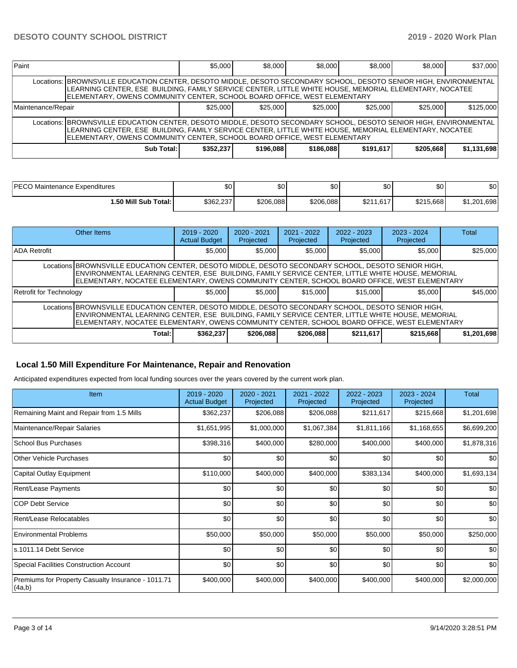| Paint                                                                                                                                                                                                                                                                                                    |                                                                                                                                                                                                                                                                                                          | \$5,000   | \$8,000   | \$8,000   | \$8,000   | \$8,000   | \$37,000    |  |  |  |
|----------------------------------------------------------------------------------------------------------------------------------------------------------------------------------------------------------------------------------------------------------------------------------------------------------|----------------------------------------------------------------------------------------------------------------------------------------------------------------------------------------------------------------------------------------------------------------------------------------------------------|-----------|-----------|-----------|-----------|-----------|-------------|--|--|--|
|                                                                                                                                                                                                                                                                                                          | Locations: BROWNSVILLE EDUCATION CENTER, DESOTO MIDDLE, DESOTO SECONDARY SCHOOL, DESOTO SENIOR HIGH, ENVIRONMENTAL<br>LEARNING CENTER, ESE BUILDING, FAMILY SERVICE CENTER, LITTLE WHITE HOUSE, MEMORIAL ELEMENTARY, NOCATEE<br>ELEMENTARY, OWENS COMMUNITY CENTER, SCHOOL BOARD OFFICE, WEST ELEMENTARY |           |           |           |           |           |             |  |  |  |
| Maintenance/Repair                                                                                                                                                                                                                                                                                       |                                                                                                                                                                                                                                                                                                          | \$25.000  | \$25,000  | \$25,000  | \$25,000  | \$25,000  | \$125,000   |  |  |  |
| Locations: BROWNSVILLE EDUCATION CENTER, DESOTO MIDDLE, DESOTO SECONDARY SCHOOL, DESOTO SENIOR HIGH, ENVIRONMENTAL<br>LEARNING CENTER, ESE BUILDING, FAMILY SERVICE CENTER, LITTLE WHITE HOUSE, MEMORIAL ELEMENTARY, NOCATEE<br>ELEMENTARY, OWENS COMMUNITY CENTER, SCHOOL BOARD OFFICE, WEST ELEMENTARY |                                                                                                                                                                                                                                                                                                          |           |           |           |           |           |             |  |  |  |
|                                                                                                                                                                                                                                                                                                          | Sub Total:                                                                                                                                                                                                                                                                                               | \$352.237 | \$196,088 | \$186,088 | \$191.617 | \$205.668 | \$1,131,698 |  |  |  |

| <b>DECOM</b>               | ት ለ       | $\sim$    | $\sim$    | $\sim$        | ሶሳ        | \$0                     |
|----------------------------|-----------|-----------|-----------|---------------|-----------|-------------------------|
| Maintenance Expenditures   | ישנ       | υυ        | Ψ∪        | JU.           | υU        |                         |
| Total:<br>l .50 Mill Sub ˈ | \$362,237 | \$206.088 | \$206.088 | .617<br>\$211 | \$215,668 | .201<br>.698<br>ົ<br>Œ, |

|                                                                                                                                                                                                                                                                                                         | Other Items | $2019 - 2020$<br><b>Actual Budget</b> | $2020 - 2021$<br>Projected | $2021 - 2022$<br>Projected | $2022 - 2023$<br>Projected | $2023 - 2024$<br>Projected | <b>Total</b> |  |  |
|---------------------------------------------------------------------------------------------------------------------------------------------------------------------------------------------------------------------------------------------------------------------------------------------------------|-------------|---------------------------------------|----------------------------|----------------------------|----------------------------|----------------------------|--------------|--|--|
| <b>ADA Retrofit</b>                                                                                                                                                                                                                                                                                     |             | \$5,000                               | \$5,000                    | \$5,000                    | \$5,000                    | \$5,000                    | \$25,000     |  |  |
| Locations BROWNSVILLE EDUCATION CENTER, DESOTO MIDDLE, DESOTO SECONDARY SCHOOL, DESOTO SENIOR HIGH,<br>ENVIRONMENTAL LEARNING CENTER, ESE BUILDING, FAMILY SERVICE CENTER, LITTLE WHITE HOUSE, MEMORIAL<br>ELEMENTARY, NOCATEE ELEMENTARY, OWENS COMMUNITY CENTER, SCHOOL BOARD OFFICE, WEST ELEMENTARY |             |                                       |                            |                            |                            |                            |              |  |  |
| Retrofit for Technology                                                                                                                                                                                                                                                                                 |             | \$5,000                               | \$5.000                    | \$15,000                   | \$15,000                   | \$5,000                    | \$45,000     |  |  |
| Locations BROWNSVILLE EDUCATION CENTER, DESOTO MIDDLE, DESOTO SECONDARY SCHOOL, DESOTO SENIOR HIGH,<br>ENVIRONMENTAL LEARNING CENTER, ESE BUILDING, FAMILY SERVICE CENTER, LITTLE WHITE HOUSE, MEMORIAL<br>ELEMENTARY, NOCATEE ELEMENTARY, OWENS COMMUNITY CENTER, SCHOOL BOARD OFFICE, WEST ELEMENTARY |             |                                       |                            |                            |                            |                            |              |  |  |
|                                                                                                                                                                                                                                                                                                         | Total:      | \$362,237                             | \$206,088                  | \$206,088                  | \$211,617                  | \$215,668                  | \$1,201,698  |  |  |

#### **Local 1.50 Mill Expenditure For Maintenance, Repair and Renovation**

Anticipated expenditures expected from local funding sources over the years covered by the current work plan.

| Item                                                          | 2019 - 2020<br><b>Actual Budget</b> | 2020 - 2021<br>Projected | 2021 - 2022<br>Projected | 2022 - 2023<br>Projected | 2023 - 2024<br>Projected | Total       |
|---------------------------------------------------------------|-------------------------------------|--------------------------|--------------------------|--------------------------|--------------------------|-------------|
| Remaining Maint and Repair from 1.5 Mills                     | \$362,237                           | \$206,088                | \$206,088                | \$211,617                | \$215,668                | \$1,201,698 |
| Maintenance/Repair Salaries                                   | \$1,651,995                         | \$1,000,000              | \$1,067,384              | \$1,811,166              | \$1,168,655              | \$6,699,200 |
| School Bus Purchases                                          | \$398,316                           | \$400,000                | \$280,000                | \$400,000                | \$400,000                | \$1,878,316 |
| Other Vehicle Purchases                                       | \$0                                 | \$0                      | \$0                      | \$0                      | \$0                      | \$0         |
| Capital Outlay Equipment                                      | \$110,000                           | \$400,000                | \$400,000                | \$383,134                | \$400,000                | \$1,693,134 |
| Rent/Lease Payments                                           | \$0                                 | \$0                      | \$0                      | \$0                      | \$0                      | \$0         |
| <b>COP Debt Service</b>                                       | \$0                                 | \$0                      | \$0                      | \$0                      | \$0                      | \$0         |
| <b>Rent/Lease Relocatables</b>                                | \$0                                 | \$0                      | \$0                      | \$0                      | \$0                      | \$0         |
| <b>Environmental Problems</b>                                 | \$50,000                            | \$50,000                 | \$50,000                 | \$50,000                 | \$50,000                 | \$250,000   |
| ls.1011.14 Debt Service                                       | \$0                                 | \$0                      | \$0                      | \$0                      | \$0                      | \$0         |
| Special Facilities Construction Account                       | \$0                                 | \$0                      | \$0                      | \$0                      | \$0                      | \$0         |
| Premiums for Property Casualty Insurance - 1011.71<br> (4a,b) | \$400,000                           | \$400,000                | \$400,000                | \$400,000                | \$400,000                | \$2,000,000 |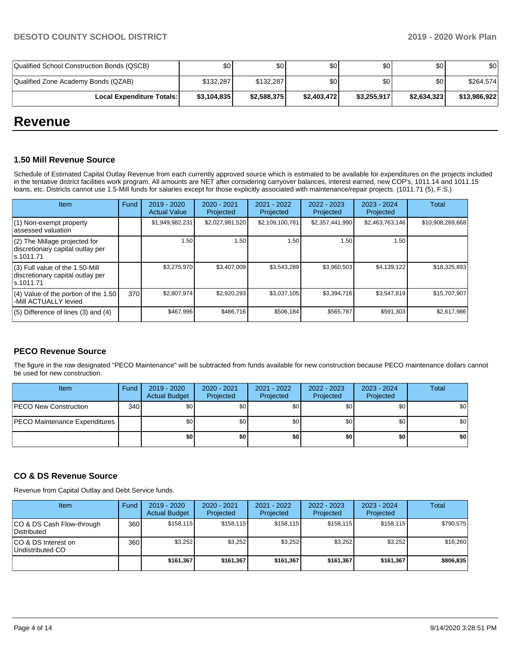| Qualified School Construction Bonds (QSCB) | \$0         | \$0 <sub>1</sub> | \$٥١        | \$0         | \$0         | \$0          |
|--------------------------------------------|-------------|------------------|-------------|-------------|-------------|--------------|
| Qualified Zone Academy Bonds (QZAB)        | \$132,287   | \$132.287        | \$0         | \$0         | \$0         | \$264,574    |
| <b>Local Expenditure Totals: I</b>         | \$3,104,835 | \$2,588,375      | \$2,403,472 | \$3,255,917 | \$2,634,323 | \$13,986,922 |

## **Revenue**

#### **1.50 Mill Revenue Source**

Schedule of Estimated Capital Outlay Revenue from each currently approved source which is estimated to be available for expenditures on the projects included in the tentative district facilities work program. All amounts are NET after considering carryover balances, interest earned, new COP's, 1011.14 and 1011.15 loans, etc. Districts cannot use 1.5-Mill funds for salaries except for those explicitly associated with maintenance/repair projects. (1011.71 (5), F.S.)

| Item                                                                                | Fund | 2019 - 2020<br><b>Actual Value</b> | $2020 - 2021$<br>Projected | 2021 - 2022<br>Projected | $2022 - 2023$<br>Projected | $2023 - 2024$<br>Projected | Total            |
|-------------------------------------------------------------------------------------|------|------------------------------------|----------------------------|--------------------------|----------------------------|----------------------------|------------------|
| $(1)$ Non-exempt property<br>lassessed valuation                                    |      | \$1,949,982,231                    | \$2,027,981,520            | \$2,109,100,781          | \$2,357,441,990            | \$2,463,763,146            | \$10,908,269,668 |
| (2) The Millage projected for<br>discretionary capital outlay per<br>ls.1011.71     |      | 1.50                               | 1.50                       | .50                      | 1.50                       | 1.50                       |                  |
| $(3)$ Full value of the 1.50-Mill<br>discretionary capital outlay per<br>ls.1011.71 |      | \$3,275,970                        | \$3,407,009                | \$3,543,289              | \$3,960,503                | \$4,139,122                | \$18,325,893     |
| $(4)$ Value of the portion of the 1.50<br>-Mill ACTUALLY levied                     | 370  | \$2,807,974                        | \$2,920,293                | \$3,037,105              | \$3,394,716                | \$3,547,819                | \$15,707,907     |
| $(5)$ Difference of lines $(3)$ and $(4)$                                           |      | \$467.996                          | \$486.716                  | \$506.184                | \$565,787                  | \$591,303                  | \$2,617,986      |

## **PECO Revenue Source**

The figure in the row designated "PECO Maintenance" will be subtracted from funds available for new construction because PECO maintenance dollars cannot be used for new construction.

| Item                          | Fund | $2019 - 2020$<br><b>Actual Budget</b> | $2020 - 2021$<br>Projected | 2021 - 2022<br>Projected | $2022 - 2023$<br>Projected | 2023 - 2024<br>Projected | Total            |
|-------------------------------|------|---------------------------------------|----------------------------|--------------------------|----------------------------|--------------------------|------------------|
| <b>PECO New Construction</b>  | 340  | \$0                                   | \$0                        | \$0                      | \$0                        | \$0                      | \$0              |
| PECO Maintenance Expenditures |      | \$0                                   | \$0                        | \$0                      | \$0                        | \$0                      | \$0 <sub>1</sub> |
|                               |      | \$0                                   | \$0                        | \$0                      | \$0                        | \$0                      | \$0              |

## **CO & DS Revenue Source**

Revenue from Capital Outlay and Debt Service funds.

| Item                                      | Fund | 2019 - 2020<br><b>Actual Budget</b> | $2020 - 2021$<br>Projected | 2021 - 2022<br>Projected | $2022 - 2023$<br>Projected | $2023 - 2024$<br>Projected | Total     |
|-------------------------------------------|------|-------------------------------------|----------------------------|--------------------------|----------------------------|----------------------------|-----------|
| ICO & DS Cash Flow-through<br>Distributed | 360  | \$158.115                           | \$158,115                  | \$158.115                | \$158.115                  | \$158,115                  | \$790,575 |
| ICO & DS Interest on<br>Undistributed CO  | 360  | \$3,252                             | \$3,252                    | \$3,252                  | \$3.252                    | \$3,252                    | \$16,260  |
|                                           |      | \$161.367                           | \$161.367                  | \$161.367                | \$161.367                  | \$161,367                  | \$806,835 |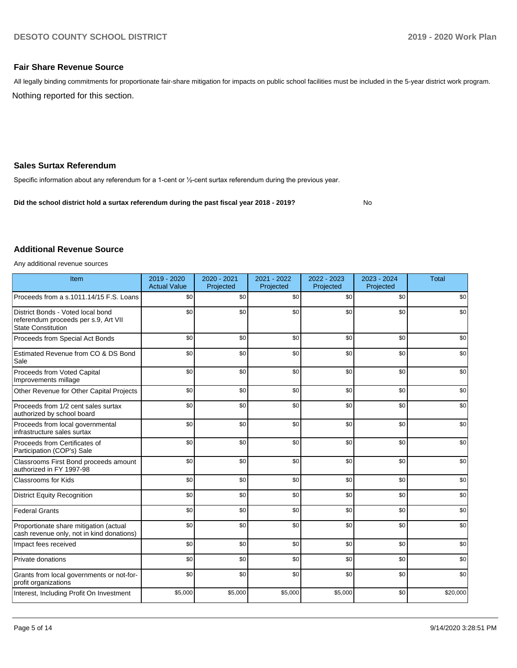No

#### **Fair Share Revenue Source**

Nothing reported for this section. All legally binding commitments for proportionate fair-share mitigation for impacts on public school facilities must be included in the 5-year district work program.

#### **Sales Surtax Referendum**

Specific information about any referendum for a 1-cent or ½-cent surtax referendum during the previous year.

**Did the school district hold a surtax referendum during the past fiscal year 2018 - 2019?**

#### **Additional Revenue Source**

Any additional revenue sources

| Item                                                                                                   | 2019 - 2020<br><b>Actual Value</b> | 2020 - 2021<br>Projected | 2021 - 2022<br>Projected | 2022 - 2023<br>Projected | 2023 - 2024<br>Projected | <b>Total</b> |
|--------------------------------------------------------------------------------------------------------|------------------------------------|--------------------------|--------------------------|--------------------------|--------------------------|--------------|
| Proceeds from a s.1011.14/15 F.S. Loans                                                                | \$0                                | \$0                      | \$0                      | \$0                      | \$0                      | \$0          |
| District Bonds - Voted local bond<br>referendum proceeds per s.9, Art VII<br><b>State Constitution</b> | \$0                                | \$0                      | \$0                      | \$0                      | \$0                      | \$0          |
| Proceeds from Special Act Bonds                                                                        | \$0                                | \$0                      | \$0                      | \$0                      | \$0                      | \$0          |
| Estimated Revenue from CO & DS Bond<br>Sale                                                            | \$0                                | \$0                      | \$0                      | \$0                      | \$0                      | \$0          |
| Proceeds from Voted Capital<br>Improvements millage                                                    | \$0                                | \$0                      | \$0                      | \$0                      | \$0                      | \$0          |
| Other Revenue for Other Capital Projects                                                               | \$0                                | \$0                      | \$0                      | \$0                      | \$0                      | \$0          |
| Proceeds from 1/2 cent sales surtax<br>authorized by school board                                      | \$0                                | \$0                      | \$0                      | \$0                      | \$0                      | \$0          |
| Proceeds from local governmental<br>infrastructure sales surtax                                        | \$0                                | \$0                      | \$0                      | \$0                      | \$0                      | \$0          |
| Proceeds from Certificates of<br>Participation (COP's) Sale                                            | \$0                                | \$0                      | \$0                      | \$0                      | \$0                      | \$0          |
| Classrooms First Bond proceeds amount<br>authorized in FY 1997-98                                      | \$0                                | \$0                      | \$0                      | \$0                      | \$0                      | \$0          |
| <b>Classrooms for Kids</b>                                                                             | \$0                                | \$0                      | \$0                      | \$0                      | \$0                      | \$0          |
| <b>District Equity Recognition</b>                                                                     | \$0                                | \$0                      | \$0                      | \$0                      | \$0                      | \$0          |
| <b>Federal Grants</b>                                                                                  | \$0                                | \$0                      | \$0                      | \$0                      | \$0                      | \$0          |
| Proportionate share mitigation (actual<br>cash revenue only, not in kind donations)                    | \$0                                | \$0                      | \$0                      | \$0                      | \$0                      | \$0          |
| Impact fees received                                                                                   | \$0                                | \$0                      | \$0                      | \$0                      | \$0                      | \$0          |
| Private donations                                                                                      | \$0                                | \$0                      | \$0                      | \$0                      | \$0                      | \$0          |
| Grants from local governments or not-for-<br>profit organizations                                      | \$0                                | \$0                      | \$0                      | \$0                      | \$0                      | \$0          |
| Interest, Including Profit On Investment                                                               | \$5,000                            | \$5,000                  | \$5,000                  | \$5,000                  | \$0                      | \$20,000     |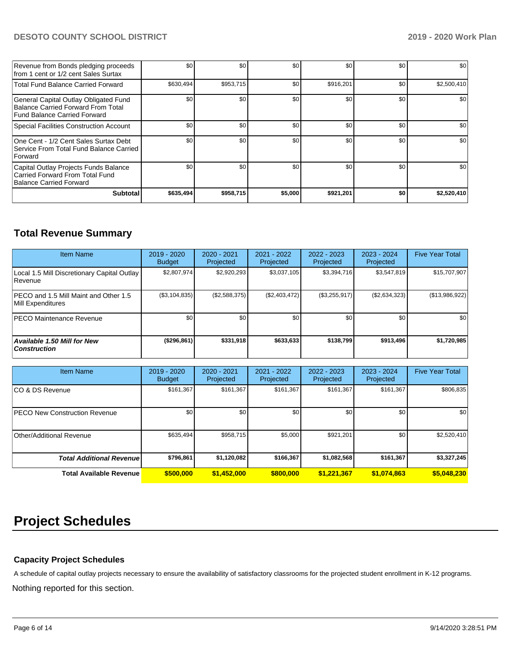## **DESOTO COUNTY SCHOOL DISTRICT 2019 - 2020 Work Plan**

| Revenue from Bonds pledging proceeds<br>from 1 cent or 1/2 cent Sales Surtax                                | \$0       | \$0       | \$0     | \$0       | \$0 | \$0         |
|-------------------------------------------------------------------------------------------------------------|-----------|-----------|---------|-----------|-----|-------------|
| <b>Total Fund Balance Carried Forward</b>                                                                   | \$630,494 | \$953,715 | \$0     | \$916,201 | \$0 | \$2,500,410 |
| General Capital Outlay Obligated Fund<br>Balance Carried Forward From Total<br>Fund Balance Carried Forward | \$0       | \$0       | \$0     | \$0       | \$0 | \$0         |
| Special Facilities Construction Account                                                                     | \$0       | \$0       | \$0     | \$0       | \$0 | \$0         |
| One Cent - 1/2 Cent Sales Surtax Debt<br>Service From Total Fund Balance Carried<br>l Forward               | \$0       | \$0       | \$0     | \$0       | \$0 | \$0         |
| Capital Outlay Projects Funds Balance<br>Carried Forward From Total Fund<br>Balance Carried Forward         | \$0       | \$0       | \$0     | \$0       | \$0 | \$0         |
| <b>Subtotal</b>                                                                                             | \$635,494 | \$958,715 | \$5,000 | \$921,201 | \$0 | \$2,520,410 |

## **Total Revenue Summary**

| <b>Item Name</b>                                           | 2019 - 2020<br><b>Budget</b> | 2020 - 2021<br>Projected | 2021 - 2022<br>Projected | 2022 - 2023<br>Projected | 2023 - 2024<br>Projected | <b>Five Year Total</b> |
|------------------------------------------------------------|------------------------------|--------------------------|--------------------------|--------------------------|--------------------------|------------------------|
| Local 1.5 Mill Discretionary Capital Outlay<br>l Revenue   | \$2,807,974                  | \$2,920,293              | \$3,037,105              | \$3,394,716              | \$3,547,819              | \$15,707,907           |
| PECO and 1.5 Mill Maint and Other 1.5<br>Mill Expenditures | (\$3,104,835)                | (\$2,588,375)            | (\$2,403,472)            | (\$3,255,917)            | (\$2,634,323)            | (\$13,986,922)         |
| <b>PECO Maintenance Revenue</b>                            | \$0 <sub>1</sub>             | \$0                      | \$0                      | \$0                      | \$0                      | \$0                    |
| <b>Available 1.50 Mill for New</b><br><b>Construction</b>  | (\$296,861)                  | \$331,918                | \$633,633                | \$138,799                | \$913,496                | \$1,720,985            |

| <b>Item Name</b>                      | 2019 - 2020<br><b>Budget</b> | $2020 - 2021$<br>Projected | 2021 - 2022<br>Projected | 2022 - 2023<br>Projected | 2023 - 2024<br>Projected | <b>Five Year Total</b> |
|---------------------------------------|------------------------------|----------------------------|--------------------------|--------------------------|--------------------------|------------------------|
| ICO & DS Revenue                      | \$161,367                    | \$161,367                  | \$161,367                | \$161,367                | \$161,367                | \$806,835              |
| <b>IPECO New Construction Revenue</b> | \$0                          | \$0                        | \$0                      | \$0                      | \$0                      | \$0                    |
| Other/Additional Revenue              | \$635,494                    | \$958,715                  | \$5,000                  | \$921,201                | \$0                      | \$2,520,410            |
| <b>Total Additional Revenue</b>       | \$796,861                    | \$1,120,082                | \$166.367                | \$1,082,568              | \$161.367                | \$3,327,245            |
| <b>Total Available Revenue</b>        | \$500,000                    | \$1,452,000                | \$800,000                | \$1,221,367              | \$1,074,863              | \$5,048,230            |

## **Project Schedules**

## **Capacity Project Schedules**

A schedule of capital outlay projects necessary to ensure the availability of satisfactory classrooms for the projected student enrollment in K-12 programs.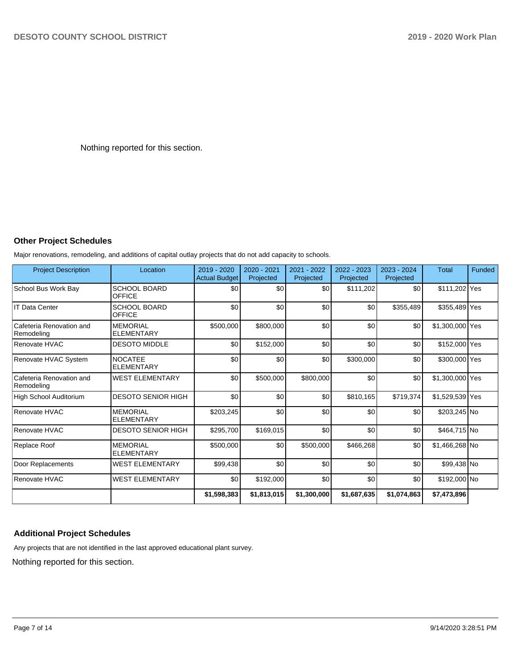Nothing reported for this section.

## **Other Project Schedules**

Major renovations, remodeling, and additions of capital outlay projects that do not add capacity to schools.

| <b>Project Description</b>             | Location                             | $2019 - 2020$<br><b>Actual Budget</b> | 2020 - 2021<br>Projected | 2021 - 2022<br>Projected | 2022 - 2023<br>Projected | $2023 - 2024$<br>Projected | <b>Total</b>    | Funded |
|----------------------------------------|--------------------------------------|---------------------------------------|--------------------------|--------------------------|--------------------------|----------------------------|-----------------|--------|
| School Bus Work Bay                    | <b>SCHOOL BOARD</b><br><b>OFFICE</b> | \$0                                   | \$0                      | \$0                      | \$111,202                | \$0                        | \$111,202 Yes   |        |
| <b>IT Data Center</b>                  | <b>SCHOOL BOARD</b><br><b>OFFICE</b> | \$0                                   | \$0                      | \$0                      | \$0                      | \$355,489                  | \$355,489 Yes   |        |
| Cafeteria Renovation and<br>Remodeling | <b>MEMORIAL</b><br><b>ELEMENTARY</b> | \$500,000                             | \$800,000                | \$0                      | \$0                      | \$0                        | \$1,300,000 Yes |        |
| Renovate HVAC                          | <b>DESOTO MIDDLE</b>                 | \$0                                   | \$152,000                | \$0                      | \$0                      | \$0                        | \$152,000 Yes   |        |
| Renovate HVAC System                   | <b>NOCATEE</b><br><b>ELEMENTARY</b>  | \$0                                   | \$0                      | \$0                      | \$300,000                | \$0                        | \$300,000 Yes   |        |
| Cafeteria Renovation and<br>Remodeling | <b>WEST ELEMENTARY</b>               | \$0                                   | \$500,000                | \$800,000                | \$0                      | \$0                        | \$1,300,000 Yes |        |
| High School Auditorium                 | <b>DESOTO SENIOR HIGH</b>            | \$0                                   | \$0                      | \$0                      | \$810,165                | \$719,374                  | \$1,529,539 Yes |        |
| Renovate HVAC                          | <b>MEMORIAL</b><br><b>ELEMENTARY</b> | \$203,245                             | \$0                      | \$0                      | \$0                      | \$0                        | \$203,245 No    |        |
| Renovate HVAC                          | <b>DESOTO SENIOR HIGH</b>            | \$295,700                             | \$169,015                | \$0                      | \$0                      | \$0                        | \$464,715 No    |        |
| Replace Roof                           | <b>MEMORIAL</b><br><b>ELEMENTARY</b> | \$500,000                             | \$0                      | \$500,000                | \$466,268                | \$0                        | \$1,466,268 No  |        |
| Door Replacements                      | <b>WEST ELEMENTARY</b>               | \$99,438                              | \$0                      | \$0                      | \$0                      | \$0                        | \$99,438 No     |        |
| Renovate HVAC                          | <b>WEST ELEMENTARY</b>               | \$0                                   | \$192,000                | \$0                      | \$0                      | \$0                        | \$192,000 No    |        |
|                                        |                                      | \$1,598,383                           | \$1,813,015              | \$1,300,000              | \$1,687,635              | \$1,074,863                | \$7,473,896     |        |

## **Additional Project Schedules**

Any projects that are not identified in the last approved educational plant survey.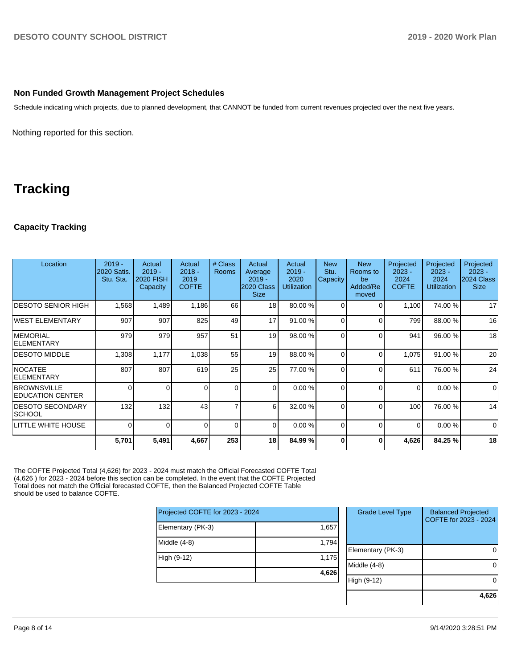#### **Non Funded Growth Management Project Schedules**

Schedule indicating which projects, due to planned development, that CANNOT be funded from current revenues projected over the next five years.

Nothing reported for this section.

## **Tracking**

## **Capacity Tracking**

| Location                                       | $2019 -$<br><b>2020 Satis.</b><br>Stu. Sta. | Actual<br>$2019 -$<br><b>2020 FISH</b><br>Capacity | Actual<br>$2018 -$<br>2019<br><b>COFTE</b> | # Class<br><b>Rooms</b> | Actual<br>Average<br>$2019 -$<br>2020 Class<br><b>Size</b> | Actual<br>$2019 -$<br>2020<br><b>Utilization</b> | <b>New</b><br>Stu.<br>Capacity | <b>New</b><br>Rooms to<br>be<br>Added/Re<br>moved | Projected<br>$2023 -$<br>2024<br><b>COFTE</b> | Projected<br>$2023 -$<br>2024<br><b>Utilization</b> | Projected<br>$2023 -$<br>2024 Class<br><b>Size</b> |
|------------------------------------------------|---------------------------------------------|----------------------------------------------------|--------------------------------------------|-------------------------|------------------------------------------------------------|--------------------------------------------------|--------------------------------|---------------------------------------------------|-----------------------------------------------|-----------------------------------------------------|----------------------------------------------------|
| IDESOTO SENIOR HIGH                            | 1,568                                       | 1,489                                              | 1,186                                      | 66                      | 18                                                         | 80.00 %                                          | $\Omega$                       | $\Omega$                                          | 1,100                                         | 74.00 %                                             | 17                                                 |
| <b>IWEST ELEMENTARY</b>                        | 907                                         | 907                                                | 825                                        | 49                      | 17                                                         | 91.00 %                                          | $\Omega$                       | $\Omega$                                          | 799                                           | 88.00 %                                             | 16                                                 |
| <b>IMEMORIAL</b><br><b>ELEMENTARY</b>          | 979                                         | 979                                                | 957                                        | 51                      | 19                                                         | 98.00 %                                          | $\Omega$                       | $\Omega$                                          | 941                                           | 96.00 %                                             | 18                                                 |
| <b>DESOTO MIDDLE</b>                           | 1,308                                       | 1,177                                              | 1,038                                      | 55                      | 19                                                         | 88.00 %                                          | $\Omega$                       | $\Omega$                                          | 1,075                                         | 91.00 %                                             | 20                                                 |
| <b>NOCATEE</b><br><b>IELEMENTARY</b>           | 807                                         | 807                                                | 619                                        | 25                      | 25                                                         | 77.00 %                                          | $\Omega$                       | $\Omega$                                          | 611                                           | 76.00 %                                             | 24                                                 |
| <b>BROWNSVILLE</b><br><b>IEDUCATION CENTER</b> | 0                                           | $\Omega$                                           | $\Omega$                                   | $\Omega$                | $\Omega$                                                   | 0.00%                                            | $\Omega$                       | $\Omega$                                          | $\Omega$                                      | 0.00%                                               | $\mathbf 0$                                        |
| <b>IDESOTO SECONDARY</b><br>SCHOOL             | 132                                         | 132                                                | 43                                         | $\overline{7}$          | 6                                                          | 32.00 %                                          | $\Omega$                       | $\Omega$                                          | 100                                           | 76.00 %                                             | 14                                                 |
| LITTLE WHITE HOUSE                             | 0                                           | $\Omega$                                           | 0                                          | $\Omega$                | $\Omega$                                                   | 0.00%                                            | $\Omega$                       | $\Omega$                                          | $\Omega$                                      | 0.00%                                               | $\mathbf 0$                                        |
|                                                | 5,701                                       | 5,491                                              | 4,667                                      | 253                     | 18 <sup>1</sup>                                            | 84.99%                                           | <sup>0</sup>                   | 0                                                 | 4,626                                         | 84.25 %                                             | 18                                                 |

The COFTE Projected Total (4,626) for 2023 - 2024 must match the Official Forecasted COFTE Total (4,626 ) for 2023 - 2024 before this section can be completed. In the event that the COFTE Projected Total does not match the Official forecasted COFTE, then the Balanced Projected COFTE Table should be used to balance COFTE.

| Projected COFTE for 2023 - 2024 |       |
|---------------------------------|-------|
| Elementary (PK-3)               | 1,657 |
| Middle $(4-8)$                  | 1,794 |
| High (9-12)                     | 1,175 |
|                                 | 4,626 |
|                                 |       |

| <b>Grade Level Type</b> | <b>Balanced Projected</b><br>COFTE for 2023 - 2024 |
|-------------------------|----------------------------------------------------|
| Elementary (PK-3)       |                                                    |
| Middle (4-8)            |                                                    |
| High (9-12)             |                                                    |
|                         |                                                    |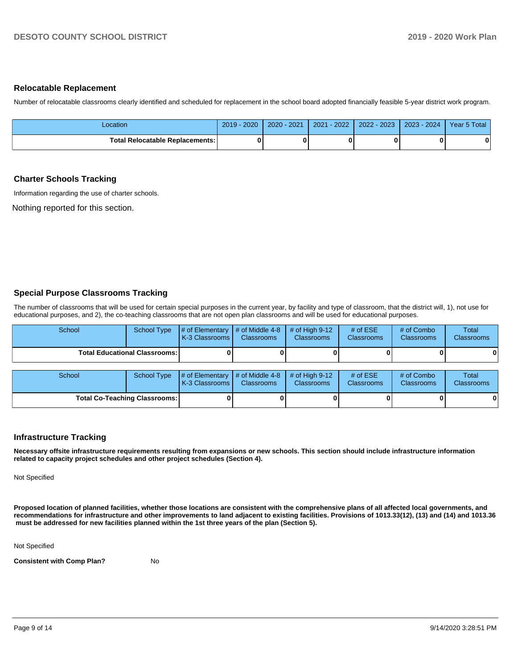#### **Relocatable Replacement**

Number of relocatable classrooms clearly identified and scheduled for replacement in the school board adopted financially feasible 5-year district work program.

| Location                                 | $2019 - 2020$ | $2020 - 2021$ | $-2022$<br>2021 | 2022 - 2023 | 2023 - 2024 | Year 5 Total |
|------------------------------------------|---------------|---------------|-----------------|-------------|-------------|--------------|
| <b>Total Relocatable Replacements: I</b> |               |               |                 |             |             | $\bf{0}$     |

#### **Charter Schools Tracking**

Information regarding the use of charter schools.

Nothing reported for this section.

#### **Special Purpose Classrooms Tracking**

The number of classrooms that will be used for certain special purposes in the current year, by facility and type of classroom, that the district will, 1), not use for educational purposes, and 2), the co-teaching classrooms that are not open plan classrooms and will be used for educational purposes.

| School                                 | <b>School Type</b>                   | # of Elementary<br>K-3 Classrooms | # of Middle 4-8<br><b>Classrooms</b> | # of High $9-12$<br><b>Classrooms</b> | # of $ESE$<br>Classrooms | # of Combo<br><b>Classrooms</b> | Total<br>Classrooms        |
|----------------------------------------|--------------------------------------|-----------------------------------|--------------------------------------|---------------------------------------|--------------------------|---------------------------------|----------------------------|
| <b>Total Educational Classrooms: I</b> |                                      |                                   |                                      |                                       |                          |                                 | 0                          |
| School                                 | <b>School Type</b>                   | # of Elementary<br>K-3 Classrooms | # of Middle 4-8<br><b>Classrooms</b> | # of High $9-12$<br>Classrooms        | # of $ESE$<br>Classrooms | # of Combo<br><b>Classrooms</b> | <b>Total</b><br>Classrooms |
|                                        | <b>Total Co-Teaching Classrooms:</b> |                                   |                                      |                                       |                          |                                 | 0                          |

#### **Infrastructure Tracking**

**Necessary offsite infrastructure requirements resulting from expansions or new schools. This section should include infrastructure information related to capacity project schedules and other project schedules (Section 4).** 

Not Specified

**Proposed location of planned facilities, whether those locations are consistent with the comprehensive plans of all affected local governments, and recommendations for infrastructure and other improvements to land adjacent to existing facilities. Provisions of 1013.33(12), (13) and (14) and 1013.36 must be addressed for new facilities planned within the 1st three years of the plan (Section 5).** 

Not Specified

**Consistent with Comp Plan?** No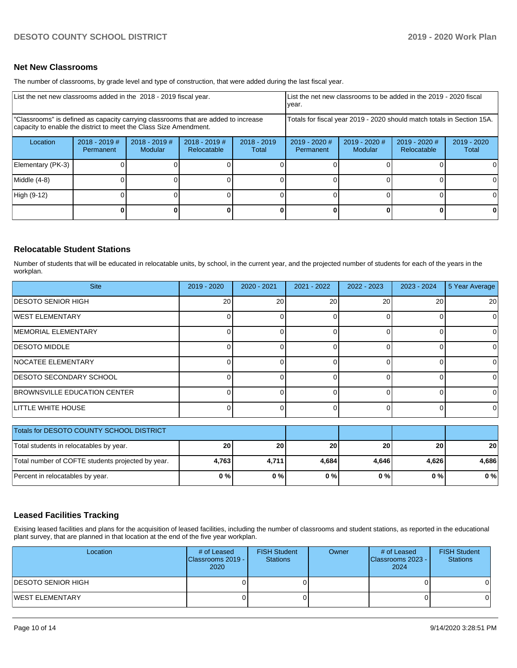#### **Net New Classrooms**

The number of classrooms, by grade level and type of construction, that were added during the last fiscal year.

| List the net new classrooms added in the 2018 - 2019 fiscal year.                                                                                       | List the net new classrooms to be added in the 2019 - 2020 fiscal<br>year. |                                   |                                |                                                                        |                            |                          |                              |                      |
|---------------------------------------------------------------------------------------------------------------------------------------------------------|----------------------------------------------------------------------------|-----------------------------------|--------------------------------|------------------------------------------------------------------------|----------------------------|--------------------------|------------------------------|----------------------|
| "Classrooms" is defined as capacity carrying classrooms that are added to increase<br>capacity to enable the district to meet the Class Size Amendment. |                                                                            |                                   |                                | Totals for fiscal year 2019 - 2020 should match totals in Section 15A. |                            |                          |                              |                      |
| Location                                                                                                                                                | $2018 - 2019$ #<br>Permanent                                               | $2018 - 2019$ #<br><b>Modular</b> | $2018 - 2019$ #<br>Relocatable | $2018 - 2019$<br>Total                                                 | 2019 - 2020 #<br>Permanent | 2019 - 2020 #<br>Modular | 2019 - 2020 #<br>Relocatable | 2019 - 2020<br>Total |
| Elementary (PK-3)                                                                                                                                       |                                                                            |                                   |                                |                                                                        |                            |                          |                              |                      |
| Middle (4-8)                                                                                                                                            |                                                                            |                                   |                                |                                                                        |                            |                          |                              |                      |
| High (9-12)                                                                                                                                             |                                                                            |                                   |                                |                                                                        |                            |                          |                              |                      |
|                                                                                                                                                         |                                                                            |                                   |                                |                                                                        |                            |                          | 0                            | 0                    |

#### **Relocatable Student Stations**

Number of students that will be educated in relocatable units, by school, in the current year, and the projected number of students for each of the years in the workplan.

| <b>Site</b>                    | 2019 - 2020 | $2020 - 2021$ | 2021 - 2022 | $2022 - 2023$ | $2023 - 2024$ | 5 Year Average |
|--------------------------------|-------------|---------------|-------------|---------------|---------------|----------------|
| <b>IDESOTO SENIOR HIGH</b>     | 20          | 20            | 20          | 20            | 20            | <b>20</b>      |
| <b>IWEST ELEMENTARY</b>        |             |               |             |               |               | 01             |
| <b>MEMORIAL ELEMENTARY</b>     |             |               |             |               |               | 0              |
| <b>DESOTO MIDDLE</b>           |             |               |             |               |               | 0              |
| <b>INOCATEE ELEMENTARY</b>     |             |               |             |               |               | 01             |
| <b>DESOTO SECONDARY SCHOOL</b> |             |               |             |               |               | 0              |
| BROWNSVILLE EDUCATION CENTER   |             |               |             |               |               | $\Omega$       |
| <b>LITTLE WHITE HOUSE</b>      |             |               |             |               |               | 0              |

| Totals for DESOTO COUNTY SCHOOL DISTRICT          |           |       |                 |           |           |       |
|---------------------------------------------------|-----------|-------|-----------------|-----------|-----------|-------|
| Total students in relocatables by year.           | <b>20</b> | 20    | 20 <sub>1</sub> | <b>20</b> | <b>20</b> | 20    |
| Total number of COFTE students projected by year. | 4.763     | 4.711 | 4.684           | 4.646     | 4.626     | 4.686 |
| Percent in relocatables by year.                  | 0%        | 0%    | 0%              | 0%        | 0 % I     | 0%    |

#### **Leased Facilities Tracking**

Exising leased facilities and plans for the acquisition of leased facilities, including the number of classrooms and student stations, as reported in the educational plant survey, that are planned in that location at the end of the five year workplan.

| Location                  | # of Leased<br><b>IClassrooms 2019 - I</b><br>2020 | <b>FISH Student</b><br><b>Stations</b> | Owner | # of Leased<br>Classrooms 2023 - I<br>2024 | <b>FISH Student</b><br><b>Stations</b> |
|---------------------------|----------------------------------------------------|----------------------------------------|-------|--------------------------------------------|----------------------------------------|
| <b>DESOTO SENIOR HIGH</b> |                                                    |                                        |       |                                            |                                        |
| <b>WEST ELEMENTARY</b>    |                                                    |                                        |       |                                            |                                        |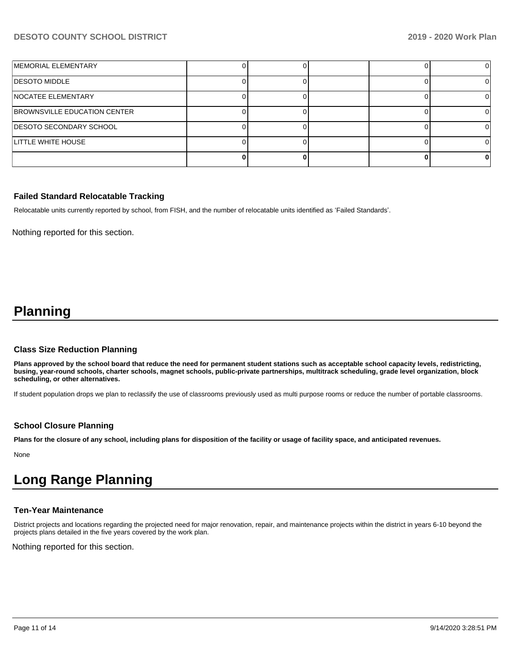## **DESOTO COUNTY SCHOOL DISTRICT 2019 - 2020 Work Plan**

| MEMORIAL ELEMENTARY                 |  |  |  |
|-------------------------------------|--|--|--|
| <b>DESOTO MIDDLE</b>                |  |  |  |
| <b>NOCATEE ELEMENTARY</b>           |  |  |  |
| <b>BROWNSVILLE EDUCATION CENTER</b> |  |  |  |
| <b>DESOTO SECONDARY SCHOOL</b>      |  |  |  |
| <b>LITTLE WHITE HOUSE</b>           |  |  |  |
|                                     |  |  |  |

#### **Failed Standard Relocatable Tracking**

Relocatable units currently reported by school, from FISH, and the number of relocatable units identified as 'Failed Standards'.

Nothing reported for this section.

## **Planning**

#### **Class Size Reduction Planning**

**Plans approved by the school board that reduce the need for permanent student stations such as acceptable school capacity levels, redistricting, busing, year-round schools, charter schools, magnet schools, public-private partnerships, multitrack scheduling, grade level organization, block scheduling, or other alternatives.**

If student population drops we plan to reclassify the use of classrooms previously used as multi purpose rooms or reduce the number of portable classrooms.

#### **School Closure Planning**

**Plans for the closure of any school, including plans for disposition of the facility or usage of facility space, and anticipated revenues.** 

None

# **Long Range Planning**

## **Ten-Year Maintenance**

District projects and locations regarding the projected need for major renovation, repair, and maintenance projects within the district in years 6-10 beyond the projects plans detailed in the five years covered by the work plan.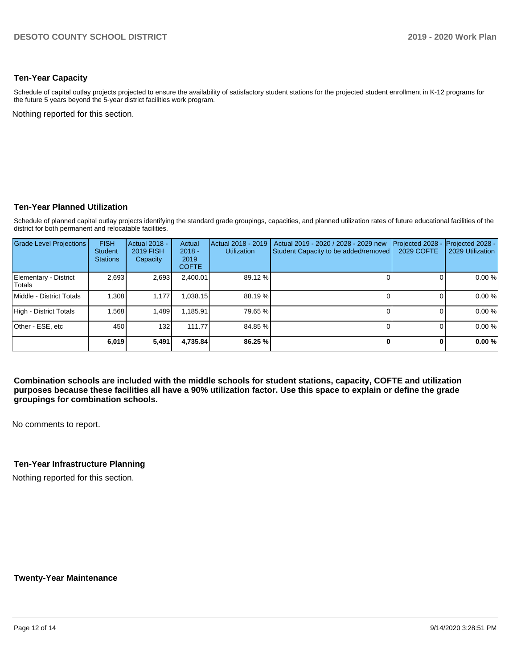#### **Ten-Year Capacity**

Schedule of capital outlay projects projected to ensure the availability of satisfactory student stations for the projected student enrollment in K-12 programs for the future 5 years beyond the 5-year district facilities work program.

Nothing reported for this section.

#### **Ten-Year Planned Utilization**

Schedule of planned capital outlay projects identifying the standard grade groupings, capacities, and planned utilization rates of future educational facilities of the district for both permanent and relocatable facilities.

| <b>Grade Level Projections</b>  | <b>FISH</b><br>Student<br><b>Stations</b> | <b>Actual 2018 -</b><br><b>2019 FISH</b><br>Capacity | Actual<br>$2018 -$<br>2019<br><b>COFTE</b> | Actual 2018 - 2019<br><b>Utilization</b> | Actual 2019 - 2020 / 2028 - 2029 new<br>Student Capacity to be added/removed | Projected 2028<br>2029 COFTE | Projected 2028 -<br>2029 Utilization |
|---------------------------------|-------------------------------------------|------------------------------------------------------|--------------------------------------------|------------------------------------------|------------------------------------------------------------------------------|------------------------------|--------------------------------------|
| Elementary - District<br>Totals | 2,693                                     | 2,693                                                | 2,400.01                                   | 89.12 %                                  |                                                                              |                              | 0.00 %                               |
| Middle - District Totals        | 1.308                                     | 1.177                                                | 1,038.15                                   | 88.19 %                                  |                                                                              |                              | 0.00 %                               |
| High - District Totals          | 1,568                                     | 1,489                                                | 1,185.91                                   | 79.65 %                                  |                                                                              |                              | 0.00 %                               |
| Other - ESE, etc                | 450                                       | 132                                                  | 111.77                                     | 84.85 %                                  |                                                                              |                              | 0.00 %                               |
|                                 | 6.019                                     | 5,491                                                | 4,735.84                                   | 86.25 %                                  |                                                                              |                              | 0.00%                                |

**Combination schools are included with the middle schools for student stations, capacity, COFTE and utilization purposes because these facilities all have a 90% utilization factor. Use this space to explain or define the grade groupings for combination schools.** 

No comments to report.

## **Ten-Year Infrastructure Planning**

Nothing reported for this section.

**Twenty-Year Maintenance**